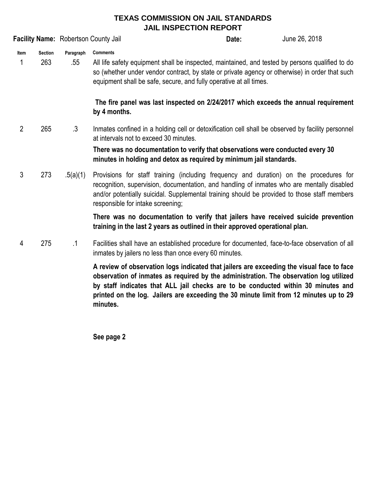## **TEXAS COMMISSION ON JAIL STANDARDS JAIL INSPECTION REPORT**

|                |                       | <b>Facility Name: Robertson County Jail</b> |                                                                                                                                                                                                                                                                                                                           | Date:                                                                                                                                                                                                                                                                   | June 26, 2018 |  |
|----------------|-----------------------|---------------------------------------------|---------------------------------------------------------------------------------------------------------------------------------------------------------------------------------------------------------------------------------------------------------------------------------------------------------------------------|-------------------------------------------------------------------------------------------------------------------------------------------------------------------------------------------------------------------------------------------------------------------------|---------------|--|
| Item<br>1      | <b>Section</b><br>263 | Paragraph<br>.55                            | <b>Comments</b>                                                                                                                                                                                                                                                                                                           | All life safety equipment shall be inspected, maintained, and tested by persons qualified to do<br>so (whether under vendor contract, by state or private agency or otherwise) in order that such<br>equipment shall be safe, secure, and fully operative at all times. |               |  |
|                |                       |                                             | The fire panel was last inspected on 2/24/2017 which exceeds the annual requirement<br>by 4 months.                                                                                                                                                                                                                       |                                                                                                                                                                                                                                                                         |               |  |
| $\overline{2}$ | 265                   | $\cdot$ 3                                   | Inmates confined in a holding cell or detoxification cell shall be observed by facility personnel<br>at intervals not to exceed 30 minutes.<br>There was no documentation to verify that observations were conducted every 30<br>minutes in holding and detox as required by minimum jail standards.                      |                                                                                                                                                                                                                                                                         |               |  |
| 3              | 273                   | .5(a)(1)                                    | Provisions for staff training (including frequency and duration) on the procedures for<br>recognition, supervision, documentation, and handling of inmates who are mentally disabled<br>and/or potentially suicidal. Supplemental training should be provided to those staff members<br>responsible for intake screening; |                                                                                                                                                                                                                                                                         |               |  |
|                |                       |                                             | There was no documentation to verify that jailers have received suicide prevention<br>training in the last 2 years as outlined in their approved operational plan.                                                                                                                                                        |                                                                                                                                                                                                                                                                         |               |  |
| 4              | 275                   | $\cdot$ 1                                   | Facilities shall have an established procedure for documented, face-to-face observation of all<br>inmates by jailers no less than once every 60 minutes.                                                                                                                                                                  |                                                                                                                                                                                                                                                                         |               |  |
|                |                       |                                             | A review of observation logs indicated that jailers are exceeding the visual face to face<br>observation of inmates as required by the administration. The observation log utilized                                                                                                                                       |                                                                                                                                                                                                                                                                         |               |  |

**observation of inmates as required by the administration. The observation log utilized by staff indicates that ALL jail checks are to be conducted within 30 minutes and printed on the log. Jailers are exceeding the 30 minute limit from 12 minutes up to 29 minutes.**

**See page 2**